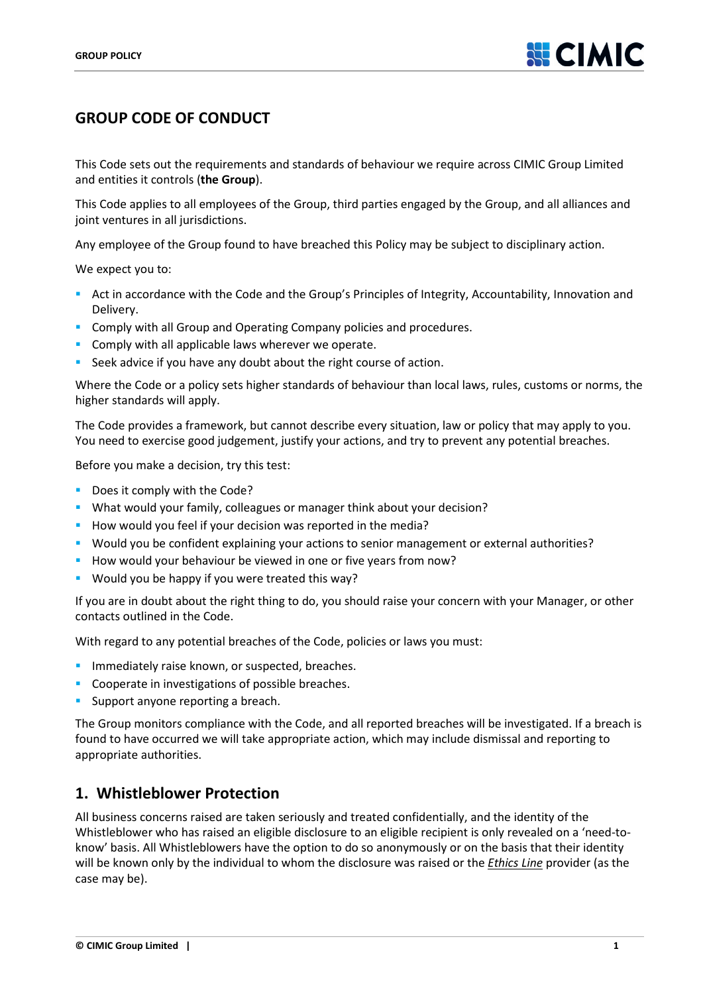# **GROUP CODE OF CONDUCT**

This Code sets out the requirements and standards of behaviour we require across CIMIC Group Limited and entities it controls (**the Group**).

This Code applies to all employees of the Group, third parties engaged by the Group, and all alliances and joint ventures in all jurisdictions.

Any employee of the Group found to have breached this Policy may be subject to disciplinary action.

We expect you to:

- Act in accordance with the Code and the Group's Principles of Integrity, Accountability, Innovation and Delivery.
- **Comply with all Group and Operating Company policies and procedures.**
- **Comply with all applicable laws wherever we operate.**
- Seek advice if you have any doubt about the right course of action.

Where the Code or a policy sets higher standards of behaviour than local laws, rules, customs or norms, the higher standards will apply.

The Code provides a framework, but cannot describe every situation, law or policy that may apply to you. You need to exercise good judgement, justify your actions, and try to prevent any potential breaches.

Before you make a decision, try this test:

- **Does it comply with the Code?**
- What would your family, colleagues or manager think about your decision?
- How would you feel if your decision was reported in the media?
- Would you be confident explaining your actions to senior management or external authorities?
- How would your behaviour be viewed in one or five years from now?
- Would you be happy if you were treated this way?

If you are in doubt about the right thing to do, you should raise your concern with your Manager, or other contacts outlined in the Code.

With regard to any potential breaches of the Code, policies or laws you must:

- **Immediately raise known, or suspected, breaches.**
- Cooperate in investigations of possible breaches.
- Support anyone reporting a breach.

The Group monitors compliance with the Code, and all reported breaches will be investigated. If a breach is found to have occurred we will take appropriate action, which may include dismissal and reporting to appropriate authorities.

### **1. Whistleblower Protection**

All business concerns raised are taken seriously and treated confidentially, and the identity of the Whistleblower who has raised an eligible disclosure to an eligible recipient is only revealed on a 'need-toknow' basis. All Whistleblowers have the option to do so anonymously or on the basis that their identity will be known only by the individual to whom the disclosure was raised or the *Ethics Line* provider (as the case may be).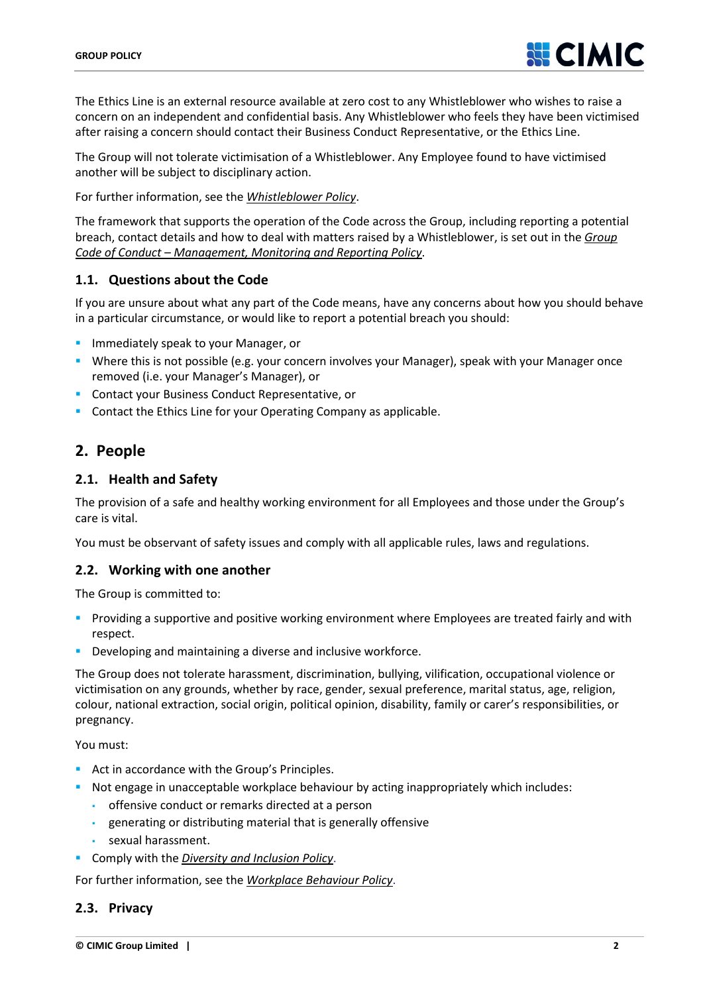

The Ethics Line is an external resource available at zero cost to any Whistleblower who wishes to raise a concern on an independent and confidential basis. Any Whistleblower who feels they have been victimised after raising a concern should contact their Business Conduct Representative, or the Ethics Line.

The Group will not tolerate victimisation of a Whistleblower. Any Employee found to have victimised another will be subject to disciplinary action.

For further information, see the *Whistleblower Policy*.

The framework that supports the operation of the Code across the Group, including reporting a potential breach, contact details and how to deal with matters raised by a Whistleblower, is set out in the *Group Code of Conduct – Management, Monitoring and Reporting Policy*.

#### **1.1. Questions about the Code**

If you are unsure about what any part of the Code means, have any concerns about how you should behave in a particular circumstance, or would like to report a potential breach you should:

- **Immediately speak to your Manager, or**
- Where this is not possible (e.g. your concern involves your Manager), speak with your Manager once removed (i.e. your Manager's Manager), or
- **Contact your Business Conduct Representative, or**
- **Contact the Ethics Line for your Operating Company as applicable.**

### **2. People**

#### **2.1. Health and Safety**

The provision of a safe and healthy working environment for all Employees and those under the Group's care is vital.

You must be observant of safety issues and comply with all applicable rules, laws and regulations.

#### **2.2. Working with one another**

The Group is committed to:

- Providing a supportive and positive working environment where Employees are treated fairly and with respect.
- **Developing and maintaining a diverse and inclusive workforce.**

The Group does not tolerate harassment, discrimination, bullying, vilification, occupational violence or victimisation on any grounds, whether by race, gender, sexual preference, marital status, age, religion, colour, national extraction, social origin, political opinion, disability, family or carer's responsibilities, or pregnancy.

You must:

- Act in accordance with the Group's Principles.
- **Not engage in unacceptable workplace behaviour by acting inappropriately which includes:** 
	- offensive conduct or remarks directed at a person
	- generating or distributing material that is generally offensive
	- sexual harassment.
- Comply with the *Diversity and Inclusion Policy*.

For further information, see the *Workplace Behaviour Policy*.

#### **2.3. Privacy**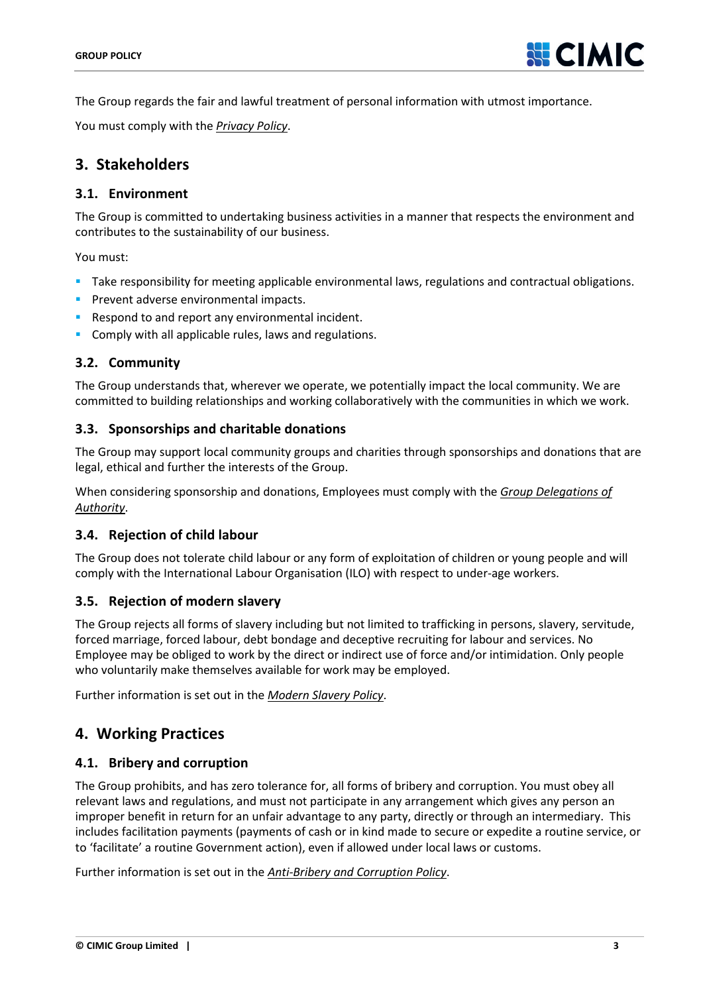

The Group regards the fair and lawful treatment of personal information with utmost importance.

You must comply with the *Privacy Policy*.

## **3. Stakeholders**

#### **3.1. Environment**

The Group is committed to undertaking business activities in a manner that respects the environment and contributes to the sustainability of our business.

You must:

- Take responsibility for meeting applicable environmental laws, regulations and contractual obligations.
- **Prevent adverse environmental impacts.**
- Respond to and report any environmental incident.
- **Comply with all applicable rules, laws and regulations.**

### **3.2. Community**

The Group understands that, wherever we operate, we potentially impact the local community. We are committed to building relationships and working collaboratively with the communities in which we work.

#### **3.3. Sponsorships and charitable donations**

The Group may support local community groups and charities through sponsorships and donations that are legal, ethical and further the interests of the Group.

When considering sponsorship and donations, Employees must comply with the *Group Delegations of Authority*.

#### **3.4. Rejection of child labour**

The Group does not tolerate child labour or any form of exploitation of children or young people and will comply with the International Labour Organisation (ILO) with respect to under-age workers.

#### **3.5. Rejection of modern slavery**

The Group rejects all forms of slavery including but not limited to trafficking in persons, slavery, servitude, forced marriage, forced labour, debt bondage and deceptive recruiting for labour and services. No Employee may be obliged to work by the direct or indirect use of force and/or intimidation. Only people who voluntarily make themselves available for work may be employed.

Further information is set out in the *Modern Slavery Policy*.

### **4. Working Practices**

### **4.1. Bribery and corruption**

The Group prohibits, and has zero tolerance for, all forms of bribery and corruption. You must obey all relevant laws and regulations, and must not participate in any arrangement which gives any person an improper benefit in return for an unfair advantage to any party, directly or through an intermediary. This includes facilitation payments (payments of cash or in kind made to secure or expedite a routine service, or to 'facilitate' a routine Government action), even if allowed under local laws or customs.

Further information is set out in the *Anti-Bribery and Corruption Policy*.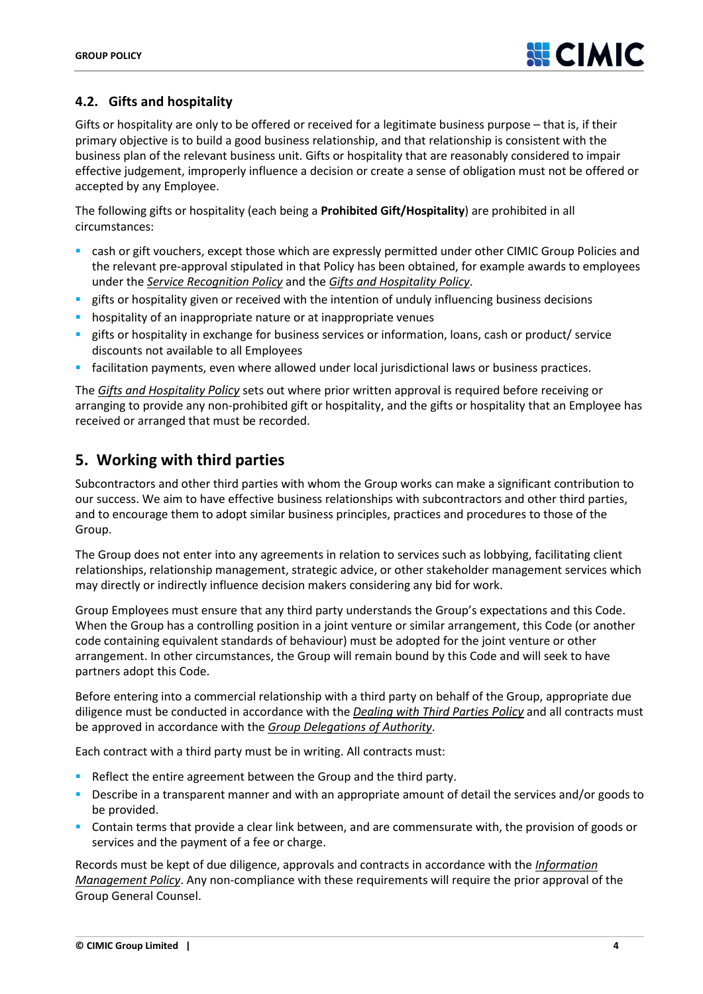### **4.2. Gifts and hospitality**

Gifts or hospitality are only to be offered or received for a legitimate business purpose – that is, if their primary objective is to build a good business relationship, and that relationship is consistent with the business plan of the relevant business unit. Gifts or hospitality that are reasonably considered to impair effective judgement, improperly influence a decision or create a sense of obligation must not be offered or accepted by any Employee.

The following gifts or hospitality (each being a **Prohibited Gift/Hospitality**) are prohibited in all circumstances:

- cash or gift vouchers, except those which are expressly permitted under other CIMIC Group Policies and the relevant pre-approval stipulated in that Policy has been obtained, for example awards to employees under the *Service Recognition Policy* and the *Gifts and Hospitality Policy*.
- **EX gifts or hospitality given or received with the intention of unduly influencing business decisions**
- hospitality of an inappropriate nature or at inappropriate venues
- gifts or hospitality in exchange for business services or information, loans, cash or product/ service discounts not available to all Employees
- facilitation payments, even where allowed under local jurisdictional laws or business practices.

The *[Gifts and Hospitality Policy](http://governance.cimic.com.au/_layouts/WordViewer.aspx?id=/GGDocuments/Gifts%20and%20Hospitality%20Procedure.docx&Source=http%3A%2F%2Fgovernance%2Ecimic%2Ecom%2Eau%2FPages%2Fgrouppolicies%2Easpx&DefaultItemOpen=1)* sets out where prior written approval is required before receiving or arranging to provide any non-prohibited gift or hospitality, and the gifts or hospitality that an Employee has received or arranged that must be recorded.

## **5. Working with third parties**

Subcontractors and other third parties with whom the Group works can make a significant contribution to our success. We aim to have effective business relationships with subcontractors and other third parties, and to encourage them to adopt similar business principles, practices and procedures to those of the Group.

The Group does not enter into any agreements in relation to services such as lobbying, facilitating client relationships, relationship management, strategic advice, or other stakeholder management services which may directly or indirectly influence decision makers considering any bid for work.

Group Employees must ensure that any third party understands the Group's expectations and this Code. When the Group has a controlling position in a joint venture or similar arrangement, this Code (or another code containing equivalent standards of behaviour) must be adopted for the joint venture or other arrangement. In other circumstances, the Group will remain bound by this Code and will seek to have partners adopt this Code.

Before entering into a commercial relationship with a third party on behalf of the Group, appropriate due diligence must be conducted in accordance with the *Dealing with Third Parties Policy* and all contracts must be approved in accordance with the *Group Delegations of Authority*.

Each contract with a third party must be in writing. All contracts must:

- Reflect the entire agreement between the Group and the third party.
- Describe in a transparent manner and with an appropriate amount of detail the services and/or goods to be provided.
- Contain terms that provide a clear link between, and are commensurate with, the provision of goods or services and the payment of a fee or charge.

Records must be kept of due diligence, approvals and contracts in accordance with the *Information Management Policy*. Any non-compliance with these requirements will require the prior approval of the Group General Counsel.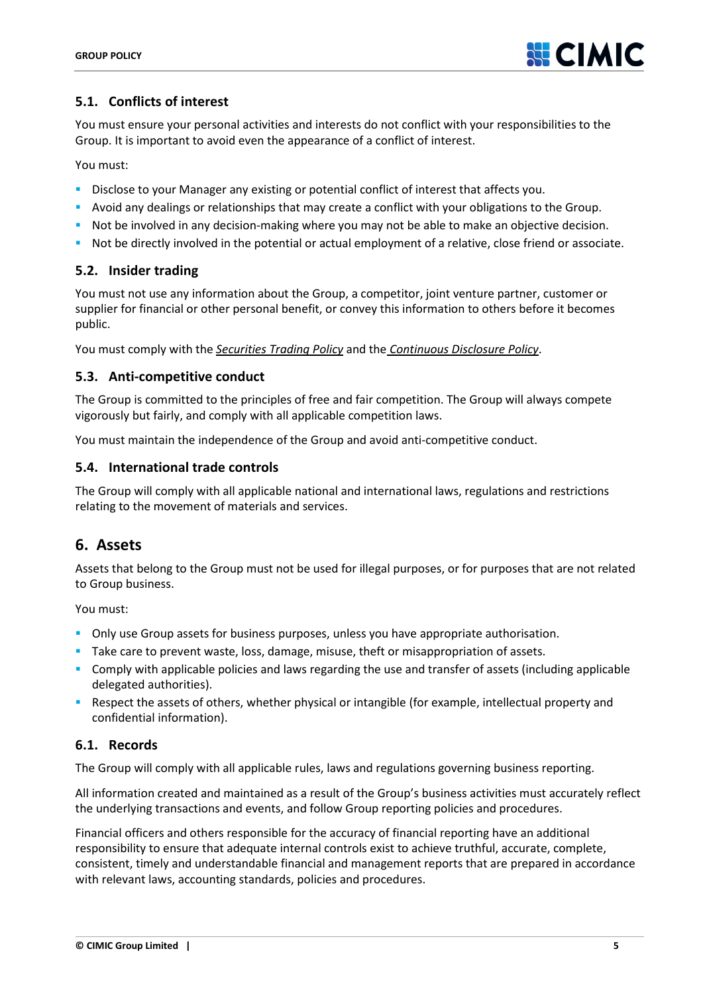

### **5.1. Conflicts of interest**

You must ensure your personal activities and interests do not conflict with your responsibilities to the Group. It is important to avoid even the appearance of a conflict of interest.

You must:

- Disclose to your Manager any existing or potential conflict of interest that affects you.
- Avoid any dealings or relationships that may create a conflict with your obligations to the Group.
- **Not be involved in any decision-making where you may not be able to make an objective decision.**
- Not be directly involved in the potential or actual employment of a relative, close friend or associate.

#### **5.2. Insider trading**

You must not use any information about the Group, a competitor, joint venture partner, customer or supplier for financial or other personal benefit, or convey this information to others before it becomes public.

You must comply with the *Securities Trading Policy* and the *Continuous Disclosure Policy*.

#### **5.3. Anti-competitive conduct**

The Group is committed to the principles of free and fair competition. The Group will always compete vigorously but fairly, and comply with all applicable competition laws.

You must maintain the independence of the Group and avoid anti-competitive conduct.

#### **5.4. International trade controls**

The Group will comply with all applicable national and international laws, regulations and restrictions relating to the movement of materials and services.

### **6. Assets**

Assets that belong to the Group must not be used for illegal purposes, or for purposes that are not related to Group business.

You must:

- **Diangth** Only use Group assets for business purposes, unless you have appropriate authorisation.
- Take care to prevent waste, loss, damage, misuse, theft or misappropriation of assets.
- Comply with applicable policies and laws regarding the use and transfer of assets (including applicable delegated authorities).
- Respect the assets of others, whether physical or intangible (for example, intellectual property and confidential information).

### **6.1. Records**

The Group will comply with all applicable rules, laws and regulations governing business reporting.

All information created and maintained as a result of the Group's business activities must accurately reflect the underlying transactions and events, and follow Group reporting policies and procedures.

Financial officers and others responsible for the accuracy of financial reporting have an additional responsibility to ensure that adequate internal controls exist to achieve truthful, accurate, complete, consistent, timely and understandable financial and management reports that are prepared in accordance with relevant laws, accounting standards, policies and procedures.